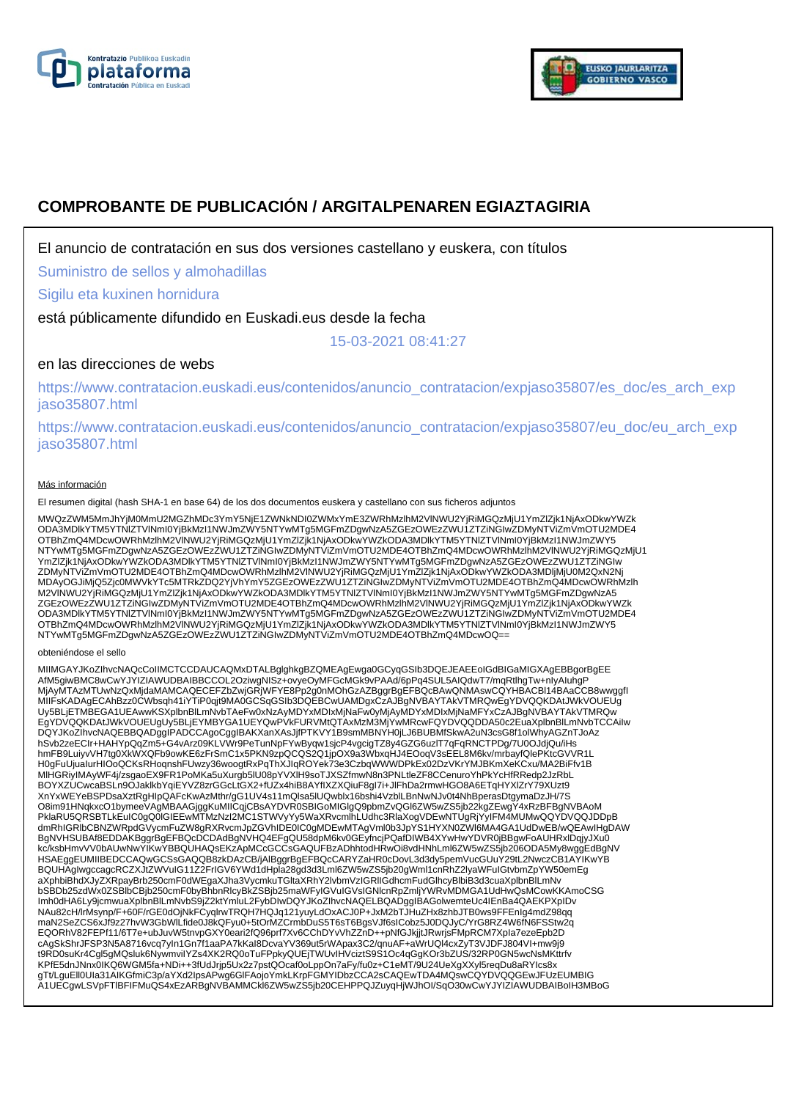



# **COMPROBANTE DE PUBLICACIÓN / ARGITALPENAREN EGIAZTAGIRIA**

El anuncio de contratación en sus dos versiones castellano y euskera, con títulos

Suministro de sellos y almohadillas

Sigilu eta kuxinen hornidura

está públicamente difundido en Euskadi.eus desde la fecha

15-03-2021 08:41:27

# en las direcciones de webs

https://www.contratacion.euskadi.eus/contenidos/anuncio\_contratacion/expjaso35807/es\_doc/es\_arch\_exp jaso35807.html

https://www.contratacion.euskadi.eus/contenidos/anuncio\_contratacion/expjaso35807/eu\_doc/eu\_arch\_exp jaso35807.html

#### Más información

El resumen digital (hash SHA-1 en base 64) de los dos documentos euskera y castellano con sus ficheros adjuntos

MWQzZWM5MmJhYjM0MmU2MGZhMDc3YmY5NjE1ZWNkNDI0ZWMxYmE3ZWRhMzlhM2VlNWU2YjRiMGQzMjU1YmZlZjk1NjAxODkwYWZk ODA3MDlkYTM5YTNlZTVlNmI0YjBkMzI1NWJmZWY5NTYwMTg5MGFmZDgwNzA5ZGEzOWEzZWU1ZTZiNGIwZDMyNTViZmVmOTU2MDE4 OTBhZmQ4MDcwOWRhMzlhM2VlNWU2YjRiMGQzMjU1YmZlZjk1NjAxODkwYWZkODA3MDlkYTM5YTNlZTVlNml0YjBkMzI1NWJmZWY5<br>NTYwMTg5MGFmZDgwNzA5ZGEzOWEzZWU1ZTZiNGIwZDMyNTViZmVmOTU2MDE4OTBhZmQ4MDcwOWRhMzlhM2VlNWU2YjRiMGQzMjU1 YmZlZjk1NjAxODkwYWZkODA3MDlkYTM5YTNIZTVINmI0YjBkMzI1NWJmZWY5NTYwMTg5MGFmZDgwNzA5ZGEzOWEzZWU1ZTZiNGIw<br>ZDMyNTViZmVmOTU2MDE4OTBhZmQ4MDcwOWRhMzlhM2VINWU2YjRiMGQzMjU1YmZlZjk1NjAxODkwYWZkODA3MDljMjU0M2QxN2Nj MDAyOGJiMjQ5Zjc0MWVkYTc5MTRkZDQ2YjVhYmY5ZGEzOWEzZWU1ZTZiNGIwZDMyNTViZmVmOTU2MDE4OTBhZmQ4MDcwOWRhMzlh M2VlNWU2YjRiMGQzMjU1YmZlZjk1NjAxODkwYWZkODA3MDlkYTM5YTNlZTVlNmI0YjBkMzI1NWJmZWY5NTYwMTg5MGFmZDgwNzA5 ZGEzOWEzZWU1ZTZiNGIwZDMyNTViZmVmOTU2MDE4OTBhZmQ4MDcwOWRhMzlhM2VINWU2YjRiMGQzMjU1YmZlZjk1NjAxODkwYWZk<br>ODA3MDlkYTM5YTNIZTVINmI0YjBkMzI1NWJmZWY5NTYwMTg5MGFmZDgwNzA5ZGEzOWEzZWU1ZTZiNGIwZDMyNTViZmVmOTU2MDE4 OTBhZmQ4MDcwOWRhMzlhM2VlNWU2YjRiMGQzMjU1YmZlZjk1NjAxODkwYWZkODA3MDlkYTM5YTNlZTVlNmI0YjBkMzI1NWJmZWY5<br>NTYwMTg5MGFmZDgwNzA5ZGEzOWEzZWU1ZTZiNGIwZDMyNTViZmVmOTU2MDE4OTBhZmQ4MDcwOQ==

#### obteniéndose el sello

MIIMGAYJKoZIhvcNAQcCoIIMCTCCDAUCAQMxDTALBglghkgBZQMEAgEwga0GCyqGSIb3DQEJEAEEoIGdBIGaMIGXAgEBBgorBgEE AfM5giwBMC8wCwYJYIZIAWUDBAIBBCCOL2OziwgNISz+ovyeOyMFGcMGk9vPAAd/6pPq4SUL5AIQdwT7/mqRtlhgTw+nIyAIuhgP<br>MjAyMTAzMTUwNzQxMjdaMAMCAQECEFZbZwjGRjWFYE8Pp2g0nMOhGzAZBggrBgEFBQcBAwQNMAswCQYHBACBI14BAaCCB8wwggfl MIIFsKADAgECAhBzz0CWbsqh41iYTiP0qjt9MA0GCSqGSIb3DQEBCwUAMDgxCzAJBgNVBAYTAkVTMRQwEgYDVQQKDAtJWkVOUEUg<br>Uy5BLjETMBEGA1UEAwwKSXplbnBlLmNvbTAeFw0xNzAyMDYxMDIxMjNaFw0yMjAyMDYxMDIxMjNaMFYxCzAJBgNVBAYTAkVTMRQw EgYDVQQKDAtJWkVOUEUgUy5BLjEYMBYGA1UEYQwPVkFURVMtQTAxMzM3MjYwMRcwFQYDVQQDDA50c2EuaXplbnBlLmNvbTCCAiIw DQYJKoZIhvcNAQEBBQADggIPADCCAgoCggIBAKXanXAsJjfPTKVY1B9smMBNYH0jLJ6BUBMfSkwA2uN3csG8f1olWhyAGZnTJoAz hSvb2zeECIr+HAHYpQqZm5+G4vArz09KLVWr9PeTunNpFYwByqw1sjcP4vgcigTZ8y4GZG6uzlT7qFqRNCTPDg/7U0OJdjQu/iHs hmFB9LuiyvVH7tg0XkWXQFb9owKE6zFrSmC1x5PKN9zpQCQS2Q1jpOX9a3WbxqHJ4EOoqV3sEEL8M6kv/mrbayfQlePKtcGVVR1L H0gFuUjuaIurHIOoQCKsRHoqnshFUwzy36woogtRxPqThXJIqROYek73e3CzbqWWWDPkEx02DzVKrYMJBKmXeKCxu/MA2BiFfv1B<br>MIHGRiyIMAyWF4j/zsgaoEX9FR1PoMKa5uXurgb5lU08pYVXIH9soTJXSZfmwN8n3PNLtleZF8CCenuroYhPkYcHfRRedp2JzRbL BOYXZUCwcaBSLn9OJaklkbYqiEYVZ8zrGGcLtGX2+fUZx4hiB8AYfIXZXQiuF8gI7i+JlFhDa2rmwHGO8A6ETqHYXlZrY79XUzt9 XnYxWEYeBSPDsaXztRgHIpQAFcKwAzMthr/gG1UV4s11mQlsa5lUQwblx16bshi4VzblLBnNwNJv0t4NhBperasDtgymaDzJH/7S O8im91HNqkxcO1bymeeVAgMBAAGjggKuMIICqjCBsAYDVR0SBIGoMIGlgQ9pbmZvQGl6ZW5wZS5jb22kgZEwgY4xRzBFBgNVBAoM PklaRU5QRSBTLkEuIC0gQ0IGIEEwMTMzNzI2MC1STWVyYy5WaXRvcmlhLUdhc3RlaXogVDEwNTUgRjYyIFM4MUMwQQYDVQQJDDpB dmRhIGRIbCBNZWRpdGVycmFuZW8gRXRvcmJpZGVhIDE0IC0gMDEwMTAgVml0b3JpYS1HYXN0ZWl6MA4GA1UdDwEB/wQEAwIHgDAW<br>BgNVHSUBAf8EDDAKBggrBgEFBQcDCDAdBgNVHQ4EFgQU58dpM6kv0GEyfncjPQafDIWB4XYwHwYDVR0jBBgwFoAUHRxlDqjyJXu0 kc/ksbHmvVV0bAUwNwYIKwYBBQUHAQsEKzApMCcGCCsGAQUFBzADhhtodHRwOi8vdHNhLml6ZW5wZS5jb206ODA5My8wggEdBgNV<br>HSAEggEUMIIBEDCCAQwGCSsGAQQB8zkDAzCB/jAlBggrBgEFBQcCARYZaHR0cDovL3d3dy5pemVucGUuY29tL2NwczCB1AYIKwYB BQUHAgIwgccagcRCZXJtZWVuIG11Z2FrIGV6YWd1dHpla28gd3d3Lml6ZW5wZS5jb20gWml1cnRhZ2lyaWFuIGtvbmZpYW50emEg aXphbiBhdXJyZXRpayBrb250cmF0dWEgaXJha3VycmkuTGltaXRhY2lvbmVzIGRlIGdhcmFudGlhcyBlbiB3d3cuaXplbnBlLmNv bSBDb25zdWx0ZSBlbCBjb250cmF0byBhbnRlcyBkZSBjb25maWFyIGVuIGVsIGNlcnRpZmljYWRvMDMGA1UdHwQsMCowKKAmoCSG Imh0dHA6Ly9jcmwuaXplbnBlLmNvbS9jZ2ktYmluL2FybDIwDQYJKoZIhvcNAQELBQADggIBAGolwemteUc4IEnBa4QAEKPXpIDv NAu82cH/lrMsynp/F+60F/rGE0dOjNkFCyqlrwTRQH7HQJq121yuyLdOxACJ0P+JxM2bTJHuZHx8zhbJTB0ws9FFEnIg4mdZ98qq<br>maN2SeZCS6xJf9z27hvW3GbWlLfide0J8kQFyu0+5tOrMZCrmbDuS5T6sT6BgsVJf6sICobz5J0DQJyC/YrG8RZ4W6fN6FSStw2q EQORhV82FEPf11/6T7e+ubJuvW5tnvpGXY0eari2fQ96prf7Xv6CChDYvVhZZnD++pNfGJkjjtJRwrjsFMpRCM7XpIa7ezeEpb2D cAgSkShrJFSP3N5A8716vcq7yIn1Gn7f1aaPA7kKaI8DcvaYV369ut5rWApax3C2/qnuAF+aWrUQl4cxZyT3VJDFJ804VI+mw9j9 t9RD0suKr4Cgl5gMQsluk6NywmviIYZs4XK2RQ0oTuFPpkyQUEjTWUvIHVciztS9S1Oc4qGgKOr3bZUS/32RP0GN5wcNsMKttrfv KPfE5dnJNnx0IKQ6WGM5fa+NDi++3fUdJrjp5Ux2z7pstQOcaf0oLppOn7aFy/fu0z+C1eMT/9U24UeXgXXyl5reqDu8aRYIcs8x gTt/LguEll0Ula31AIKGfmiC3p/aYXd2lpsAPwg6GlFAojoYmkLKrpFGMYIDbzCCA2sCAQEwTDA4MQswCQYDVQQGEwJFUzEUMBIG<br>A1UECgwLSVpFTIBFIFMuQS4xEzARBgNVBAMMCkl6ZW5wZS5jb20CEHPPQJZuyqHjWJhOI/SqO30wCwYJYIZIAWUDBAIBoIH3MBoG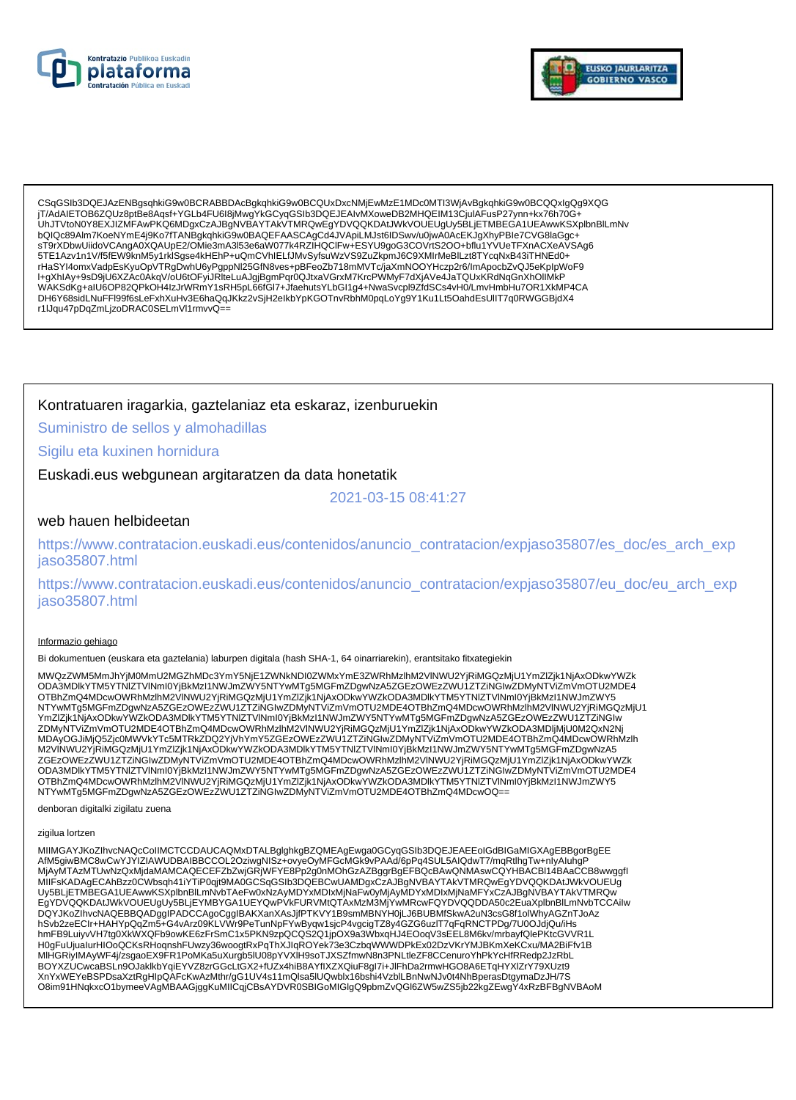



CSqGSIb3DQEJAzENBgsqhkiG9w0BCRABBDAcBgkqhkiG9w0BCQUxDxcNMjEwMzE1MDc0MTI3WjAvBgkqhkiG9w0BCQQxIgQg9XQG jT/AdAIETOB6ZQUz8ptBe8Aqsf+YGLb4FU6I8jMwgYkGCyqGSIb3DQEJEAIvMXoweDB2MHQEIM13CjuIAFusP27ynn+kx76h70G+ UhJTVtoN0Y8EXJIZMFAwPKQ6MDgxCzAJBgNVBAYTAkVTMRQwEgYDVQQKDAtJWkVOUEUgUy5BLjETMBEGA1UEAwwKSXplbnBlLmNv bQIQc89AIm7KoeNYmE4j9Ko7fTANBgkqhkiG9w0BAQEFAASCAgCd4JVApiLMJst6IDSwv/u0jwA0AcEKJgXhyPBIe7CVG8laGgc+ sT9rXDbwUiidoVCAngA0XQAUpE2/OMie3mA3l53e6aW077k4RZIHQCIFw+ESYU9goG3COVrtS2OO+bflu1YVUeTFXnACXeAVSAg6 5TE1Azv1n1V/f5fEW9knM5y1rklSgse4kHEhP+uQmCVhIELfJMvSyfsuWzVS9ZuZkpmJ6C9XMIrMeBILzt8TYcqNxB43iTHNEd0+ rHaSYI4omxVadpEsKyuOpVTRgDwhU6yPgppNl25GfN8ves+pBFeoZb718mMVTc/jaXmNOOYHczp2r6/lmApocbZvQJ5eKplpWoF9<br>I+gXhIAy+9sD9jU6XZAc0AkqV/oU6tOFyiJRIteLuAJgjBgmPqr0QJtxaVGrxM7KrcPWMyF7dXjAVe4JaTQUxKRdNqGnXhOIIMkP<br>WAKSdKg+aIU6OP82QPkO DH6Y68sidLNuFFl99f6sLeFxhXuHv3E6haQqJKkz2vSjH2elkbYpKGOTnvRbhM0pqLoYg9Y1Ku1Lt5QahdEsUllT7q0RWGGBjdX4 r1lJqu47pDqZmLjzoDRAC0SELmVl1rmvvQ==

## Kontratuaren iragarkia, gaztelaniaz eta eskaraz, izenburuekin

Suministro de sellos y almohadillas

### Sigilu eta kuxinen hornidura

Euskadi.eus webgunean argitaratzen da data honetatik

2021-03-15 08:41:27

### web hauen helbideetan

https://www.contratacion.euskadi.eus/contenidos/anuncio\_contratacion/expjaso35807/es\_doc/es\_arch\_exp iaso35807.html

https://www.contratacion.euskadi.eus/contenidos/anuncio\_contratacion/expjaso35807/eu\_doc/eu\_arch\_exp jaso35807.html

#### Informazio gehiago

Bi dokumentuen (euskara eta gaztelania) laburpen digitala (hash SHA-1, 64 oinarriarekin), erantsitako fitxategiekin

MWQzZWM5MmJhYiM0MmU2MGZhMDc3YmY5NiE1ZWNkNDI0ZWMxYmE3ZWRhMzlhM2VINWU2YiRiMGQzMiU1YmZlZik1NiAxODkwYWZk ODA3MDlkYTM5YTNIZTVINmI0YjBkMzI1NWJmZWY5NTYwMTg5MGFmZDgwNzA5ZGEzOWEzZWU1ZTZiNGIwZDMyNTVIZmVmOTU2MDE4 OTBhZmQ4MDcwOWRhMzlhM2VINWU2YjRiMGQzMjU1YmZlZjk1NjAxODkwYWZkODA3MDlkYTM5YTNIZTVINmI0YjBkMzI1NWJmZWY5 NTYwMTg5MGFmZDgwNzA5ZGEzOWEzZWU1ZTZINGIwZDMyNTViZmVmOTU2MDE4OTBhZmQ4MDcwOWRhMzInM2VINWU2YjRiMGQzMjU1 YmZlZjk1NjAxODkwYWZkODA3MDlkYTM5YTNlZTVlNml0YjBkMzl1NWJmZWY5NTYwMTg5MGFmZDgwNzA5ZGEzOWEzZWU1ZTZiNGlw ZDMyNTViZmVmOTU2MDE4OTBhZmQ4MDcwOWRhMzlhM2VINWU2YjRiMGQzMjU1YmZlZjk1NjAxODkwYWZkODA3MDljMjU0M2QxN2Nj MDAyOGJiMjQ5Zjc0MWVkYTc5MTRkZDQ2YjVhYmY5ZGEzOWEzZWU1ZTZiNGIwZDMyNTViZmVmOTU2MDE4OTBhZmQ4MDcwOWRhMzlh<br>M2VINWU2YjRiMGQzMjU1YmZlZjk1NjAxODkwYWZkODA3MDlkYTM5YTNIZTVlNml0YjBkMzl1NWJmZWY5NTYwMTg5MGFmZDgwNzA5 ZGEzOWEzZWU1ZTZINGIwZDMyNTViZmVmOTU2MDE4OTBhZmQ4MDcwOWRhMzIhM2VINWU2YjRiMGQzMjU1YmZIZjk1NjAxODkwYWZk ODA3MDIkYTMSYTNIZTVINmI0YjBkMzI1NWJmZWY5NTYwMTa5MGFmZDqwNzA5ZGEzOWEzZWU1ZTZiNGIwZDMyNTViZmVmOTU2MDE4 OTBhZmQ4MDcwOWRhMzIhM2VINWU2YjRiMGQzMjU1YmZIZjk1NjAxODkwYWZkODA3MDlkYTM5YTNIZTVINmI0YjBkMzI1NWJmZWY5 NTYwMTg5MGFmZDgwNzA5ZGEzOWEzZWU1ZTZINGIwZDMyNTViZmVmOTU2MDE4OTBhZmQ4MDcwOQ=

denboran digitalki zigilatu zuena

#### zigilua lortzen

MIIMGAYJKoZIhvcNAQcCoIIMCTCCDAUCAQMxDTALBglghkgBZQMEAgEwga0GCyqGSIb3DQEJEAEEoIGdBIGaMIGXAgEBBgorBgEE MIMOGINERING MUZIKUVUDBAIBBCCOL2OziwgNISz+ovyeOyMFGcMGk9vPAAd/6pPq4SUL5AIQdwT7/mqRtlhgTw+nlyAluhgP<br>MjAyMTAzMTUwNzQxMjdaMAMCAQECEFZbZwjGRjWFYE8Pp2g0nMOhGzAZBggrBgEFBQcBAwQNMAswCQYHBACBI14BAaCCB8wwggfl<br>MIIFsKADAgECAhBzz0CWbs EgYDVQQKDAtJWkVOUEUgUy5BLjEYMBYGA1UEYQwPVkFURVMtQTAxMzM3MjYwMRcwFQYDVQQDDA50c2EuaXplbnBlLmNvbTCCAilw DQYJKoZIhvcNAQEBBQADggIPADCCAgoCggIBAKXanXAsJjfPTKVY1B9smMBNYH0jLJ6BUBMfSkwA2uN3csG8f1olWhyAGZnTJoAz hSvb2zeECIr+HAHYpQqZm5+G4vArz09KLVWr9PeTunNpFYwByqw1sjcP4vgcigTZ8y4GZG6uzlT7qFqRNCTPDg/7U0OJdjQu/iHs hmFB9LuiyvVH7tg0XkWXQFb9owKE6zFrSmC1x5PKN9zpQCQS2Q1jpOX9a3WbxqHJ4EOoqV3sEEL8M6kv/mrbayfQlePKtcGVVR1L H0gFuUjualurHIOoQCKsRHoqnshFUwzy36woogtRxPqThXJlqROYek73e3CzbqWWWDPkEx02DzVKrYMJBKmXeKCxu/MA2BiFfv1B MIHGRiyIMAyWF4j/zsgaoEX9FR1PoMKa5uXurgb5lU08pYVXIH9soTJXSZfmwN8n3PNLtleZF8CCenuroYhPkYcHfRRedp2JzRbL BOYXZUCwcaBSLn9OJaklkbYqiEYVZ8zrGGcLtGX2+fUZx4hiB8AYfIXZXQiuF8gl7i+JlFhDa2rmwHGO8A6ETqHYXIZrY79XUzt9 XnYxWEYeBSPDsaXztRqHlpQAFcKwAzMthr/qG1UV4s11mQlsa5lUQwblx16bshi4VzblLBnNwNJv0t4NhBperasDtqymaDzJH/7S O8im91HNqkxcO1bymeeVAgMBAAGjggKuMIICqjCBsAYDVR0SBIGoMIGlgQ9pbmZvQGl6ZW5wZS5jb22kgZEwgY4xRzBFBgNVBAoM